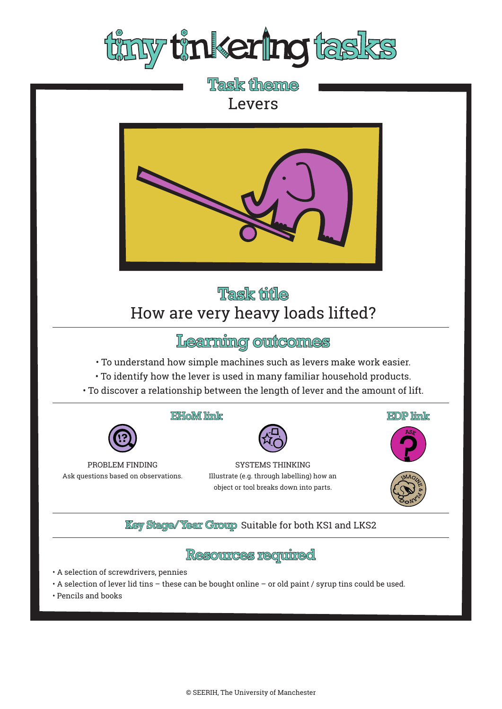

**Task theme** Levers



# Task title How are very heavy loads lifted?

# Learning outcomes

- To understand how simple machines such as levers make work easier.
- To identify how the lever is used in many familiar household products.
- To discover a relationship between the length of lever and the amount of lift.





#### EHoM link



#### SYSTEMS THINKING Illustrate (e.g. through labelling) how an object or tool breaks down into parts.







### **Key Stage/Year Group Suitable for both KS1 and LKS2**

## **Resources required**

- A selection of screwdrivers, pennies
- A selection of lever lid tins these can be bought online or old paint / syrup tins could be used.
- Pencils and books